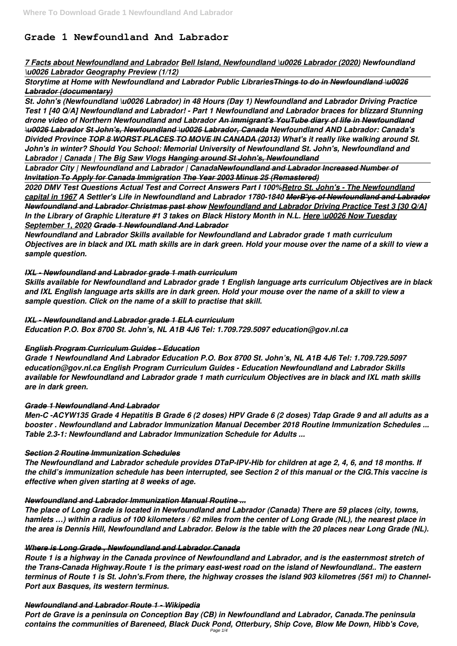# **Grade 1 Newfoundland And Labrador**

# *7 Facts about Newfoundland and Labrador Bell Island, Newfoundland \u0026 Labrador (2020) Newfoundland \u0026 Labrador Geography Preview (1/12)*

*Storytime at Home with Newfoundland and Labrador Public LibrariesThings to do in Newfoundland \u0026 Labrador (documentary)*

*St. John's (Newfoundland \u0026 Labrador) in 48 Hours (Day 1) Newfoundland and Labrador Driving Practice Test 1 [40 Q/A] Newfoundland and Labrador! - Part 1 Newfoundland and Labrador braces for blizzard Stunning drone video of Northern Newfoundland and Labrador An immigrant's YouTube diary of life in Newfoundland \u0026 Labrador St John's, Newfoundland \u0026 Labrador, Canada Newfoundland AND Labrador: Canada's Divided Province TOP 8 WORST PLACES TO MOVE IN CANADA (2013) What's it really like walking around St. John's in winter? Should You School: Memorial University of Newfoundland St. John's, Newfoundland and Labrador | Canada | The Big Saw Vlogs Hanging around St John's, Newfoundland*

*Labrador City | Newfoundland and Labrador | CanadaNewfoundland and Labrador Increased Number of Invitation To Apply for Canada Immigration The Year 2003 Minus 25 (Remastered)*

*2020 DMV Test Questions Actual Test and Correct Answers Part I 100%Retro St. John's - The Newfoundland capital in 1967 A Settler's Life in Newfoundland and Labrador 1780-1840 MerB'ys of Newfoundland and Labrador Newfoundland and Labrador Christmas past show Newfoundland and Labrador Driving Practice Test 3 [30 Q/A] In the Library of Graphic Literature #1 3 takes on Black History Month in N.L. Here \u0026 Now Tuesday September 1, 2020 Grade 1 Newfoundland And Labrador*

*Newfoundland and Labrador Skills available for Newfoundland and Labrador grade 1 math curriculum Objectives are in black and IXL math skills are in dark green. Hold your mouse over the name of a skill to view a sample question.*

# *IXL - Newfoundland and Labrador grade 1 math curriculum*

*Skills available for Newfoundland and Labrador grade 1 English language arts curriculum Objectives are in black and IXL English language arts skills are in dark green. Hold your mouse over the name of a skill to view a sample question. Click on the name of a skill to practise that skill.*

*IXL - Newfoundland and Labrador grade 1 ELA curriculum Education P.O. Box 8700 St. John's, NL A1B 4J6 Tel: 1.709.729.5097 education@gov.nl.ca*

# *English Program Curriculum Guides - Education*

*Grade 1 Newfoundland And Labrador Education P.O. Box 8700 St. John's, NL A1B 4J6 Tel: 1.709.729.5097 education@gov.nl.ca English Program Curriculum Guides - Education Newfoundland and Labrador Skills available for Newfoundland and Labrador grade 1 math curriculum Objectives are in black and IXL math skills are in dark green.*

# *Grade 1 Newfoundland And Labrador*

*Men-C -ACYW135 Grade 4 Hepatitis B Grade 6 (2 doses) HPV Grade 6 (2 doses) Tdap Grade 9 and all adults as a booster . Newfoundland and Labrador Immunization Manual December 2018 Routine Immunization Schedules ... Table 2.3-1: Newfoundland and Labrador Immunization Schedule for Adults ...*

#### *Section 2 Routine Immunization Schedules*

*The Newfoundland and Labrador schedule provides DTaP-IPV-Hib for children at age 2, 4, 6, and 18 months. If the child's immunization schedule has been interrupted, see Section 2 of this manual or the CIG.This vaccine is effective when given starting at 8 weeks of age.*

#### *Newfoundland and Labrador Immunization Manual Routine ...*

*The place of Long Grade is located in Newfoundland and Labrador (Canada) There are 59 places (city, towns, hamlets …) within a radius of 100 kilometers / 62 miles from the center of Long Grade (NL), the nearest place in the area is Dennis Hill, Newfoundland and Labrador. Below is the table with the 20 places near Long Grade (NL).*

#### *Where is Long Grade , Newfoundland and Labrador Canada*

*Route 1 is a highway in the Canada province of Newfoundland and Labrador, and is the easternmost stretch of the Trans-Canada Highway.Route 1 is the primary east-west road on the island of Newfoundland.. The eastern terminus of Route 1 is St. John's.From there, the highway crosses the island 903 kilometres (561 mi) to Channel-Port aux Basques, its western terminus.*

#### *Newfoundland and Labrador Route 1 - Wikipedia*

*Port de Grave is a peninsula on Conception Bay (CB) in Newfoundland and Labrador, Canada.The peninsula contains the communities of Bareneed, Black Duck Pond, Otterbury, Ship Cove, Blow Me Down, Hibb's Cove,* Page 1/4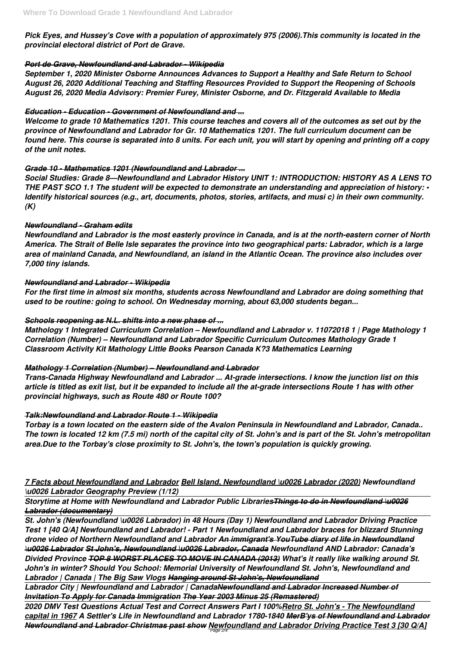*Pick Eyes, and Hussey's Cove with a population of approximately 975 (2006).This community is located in the provincial electoral district of Port de Grave.*

#### *Port de Grave, Newfoundland and Labrador - Wikipedia*

*September 1, 2020 Minister Osborne Announces Advances to Support a Healthy and Safe Return to School August 26, 2020 Additional Teaching and Staffing Resources Provided to Support the Reopening of Schools August 26, 2020 Media Advisory: Premier Furey, Minister Osborne, and Dr. Fitzgerald Available to Media*

#### *Education - Education - Government of Newfoundland and ...*

*Welcome to grade 10 Mathematics 1201. This course teaches and covers all of the outcomes as set out by the province of Newfoundland and Labrador for Gr. 10 Mathematics 1201. The full curriculum document can be found here. This course is separated into 8 units. For each unit, you will start by opening and printing off a copy of the unit notes.*

### *Grade 10 - Mathematics 1201 (Newfoundland and Labrador ...*

*Social Studies: Grade 8—Newfoundland and Labrador History UNIT 1: INTRODUCTION: HISTORY AS A LENS TO THE PAST SCO 1.1 The student will be expected to demonstrate an understanding and appreciation of history: • Identify historical sources (e.g., art, documents, photos, stories, artifacts, and musi c) in their own community. (K)*

#### *Newfoundland - Graham edits*

*Newfoundland and Labrador is the most easterly province in Canada, and is at the north-eastern corner of North America. The Strait of Belle Isle separates the province into two geographical parts: Labrador, which is a large area of mainland Canada, and Newfoundland, an island in the Atlantic Ocean. The province also includes over 7,000 tiny islands.*

#### *Newfoundland and Labrador - Wikipedia*

*For the first time in almost six months, students across Newfoundland and Labrador are doing something that used to be routine: going to school. On Wednesday morning, about 63,000 students began...*

# *Schools reopening as N.L. shifts into a new phase of ...*

*Mathology 1 Integrated Curriculum Correlation – Newfoundland and Labrador v. 11072018 1 | Page Mathology 1 Correlation (Number) – Newfoundland and Labrador Specific Curriculum Outcomes Mathology Grade 1 Classroom Activity Kit Mathology Little Books Pearson Canada K?3 Mathematics Learning*

# *Mathology 1 Correlation (Number) – Newfoundland and Labrador*

*Trans-Canada Highway Newfoundland and Labrador ... At-grade intersections. I know the junction list on this article is titled as exit list, but it be expanded to include all the at-grade intersections Route 1 has with other provincial highways, such as Route 480 or Route 100?*

# *Talk:Newfoundland and Labrador Route 1 - Wikipedia*

*Torbay is a town located on the eastern side of the Avalon Peninsula in Newfoundland and Labrador, Canada.. The town is located 12 km (7.5 mi) north of the capital city of St. John's and is part of the St. John's metropolitan area.Due to the Torbay's close proximity to St. John's, the town's population is quickly growing.*

# *7 Facts about Newfoundland and Labrador Bell Island, Newfoundland \u0026 Labrador (2020) Newfoundland*

#### *\u0026 Labrador Geography Preview (1/12)*

*Storytime at Home with Newfoundland and Labrador Public LibrariesThings to do in Newfoundland \u0026 Labrador (documentary)*

*St. John's (Newfoundland \u0026 Labrador) in 48 Hours (Day 1) Newfoundland and Labrador Driving Practice Test 1 [40 Q/A] Newfoundland and Labrador! - Part 1 Newfoundland and Labrador braces for blizzard Stunning drone video of Northern Newfoundland and Labrador An immigrant's YouTube diary of life in Newfoundland \u0026 Labrador St John's, Newfoundland \u0026 Labrador, Canada Newfoundland AND Labrador: Canada's Divided Province TOP 8 WORST PLACES TO MOVE IN CANADA (2013) What's it really like walking around St. John's in winter? Should You School: Memorial University of Newfoundland St. John's, Newfoundland and Labrador | Canada | The Big Saw Vlogs Hanging around St John's, Newfoundland Labrador City | Newfoundland and Labrador | CanadaNewfoundland and Labrador Increased Number of Invitation To Apply for Canada Immigration The Year 2003 Minus 25 (Remastered) 2020 DMV Test Questions Actual Test and Correct Answers Part I 100%Retro St. John's - The Newfoundland capital in 1967 A Settler's Life in Newfoundland and Labrador 1780-1840 MerB'ys of Newfoundland and Labrador Newfoundland and Labrador Christmas past show Newfoundland and Labrador Driving Practice Test 3 [30 Q/A]* Page 2/4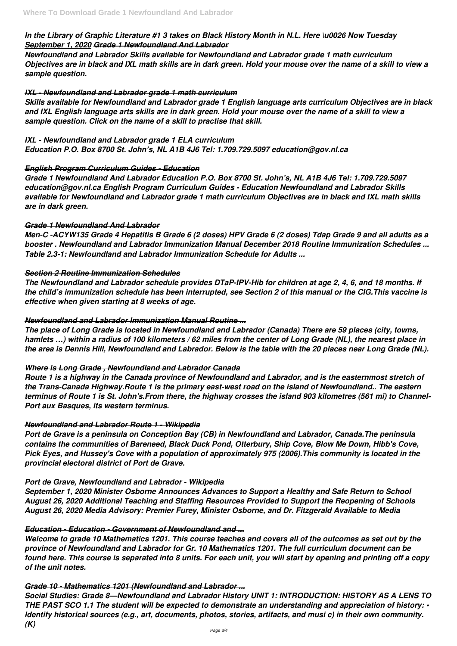### *In the Library of Graphic Literature #1 3 takes on Black History Month in N.L. Here \u0026 Now Tuesday September 1, 2020 Grade 1 Newfoundland And Labrador*

*Newfoundland and Labrador Skills available for Newfoundland and Labrador grade 1 math curriculum Objectives are in black and IXL math skills are in dark green. Hold your mouse over the name of a skill to view a sample question.*

#### *IXL - Newfoundland and Labrador grade 1 math curriculum*

*Skills available for Newfoundland and Labrador grade 1 English language arts curriculum Objectives are in black and IXL English language arts skills are in dark green. Hold your mouse over the name of a skill to view a sample question. Click on the name of a skill to practise that skill.*

#### *IXL - Newfoundland and Labrador grade 1 ELA curriculum*

*Education P.O. Box 8700 St. John's, NL A1B 4J6 Tel: 1.709.729.5097 education@gov.nl.ca*

#### *English Program Curriculum Guides - Education*

*Grade 1 Newfoundland And Labrador Education P.O. Box 8700 St. John's, NL A1B 4J6 Tel: 1.709.729.5097 education@gov.nl.ca English Program Curriculum Guides - Education Newfoundland and Labrador Skills available for Newfoundland and Labrador grade 1 math curriculum Objectives are in black and IXL math skills are in dark green.*

#### *Grade 1 Newfoundland And Labrador*

*Men-C -ACYW135 Grade 4 Hepatitis B Grade 6 (2 doses) HPV Grade 6 (2 doses) Tdap Grade 9 and all adults as a booster . Newfoundland and Labrador Immunization Manual December 2018 Routine Immunization Schedules ... Table 2.3-1: Newfoundland and Labrador Immunization Schedule for Adults ...*

#### *Section 2 Routine Immunization Schedules*

*The Newfoundland and Labrador schedule provides DTaP-IPV-Hib for children at age 2, 4, 6, and 18 months. If the child's immunization schedule has been interrupted, see Section 2 of this manual or the CIG.This vaccine is effective when given starting at 8 weeks of age.*

#### *Newfoundland and Labrador Immunization Manual Routine ...*

*The place of Long Grade is located in Newfoundland and Labrador (Canada) There are 59 places (city, towns, hamlets …) within a radius of 100 kilometers / 62 miles from the center of Long Grade (NL), the nearest place in the area is Dennis Hill, Newfoundland and Labrador. Below is the table with the 20 places near Long Grade (NL).*

#### *Where is Long Grade , Newfoundland and Labrador Canada*

*Route 1 is a highway in the Canada province of Newfoundland and Labrador, and is the easternmost stretch of the Trans-Canada Highway.Route 1 is the primary east-west road on the island of Newfoundland.. The eastern terminus of Route 1 is St. John's.From there, the highway crosses the island 903 kilometres (561 mi) to Channel-Port aux Basques, its western terminus.*

#### *Newfoundland and Labrador Route 1 - Wikipedia*

*Port de Grave is a peninsula on Conception Bay (CB) in Newfoundland and Labrador, Canada.The peninsula contains the communities of Bareneed, Black Duck Pond, Otterbury, Ship Cove, Blow Me Down, Hibb's Cove, Pick Eyes, and Hussey's Cove with a population of approximately 975 (2006).This community is located in the provincial electoral district of Port de Grave.*

#### *Port de Grave, Newfoundland and Labrador - Wikipedia*

*September 1, 2020 Minister Osborne Announces Advances to Support a Healthy and Safe Return to School August 26, 2020 Additional Teaching and Staffing Resources Provided to Support the Reopening of Schools August 26, 2020 Media Advisory: Premier Furey, Minister Osborne, and Dr. Fitzgerald Available to Media*

#### *Education - Education - Government of Newfoundland and ...*

*Welcome to grade 10 Mathematics 1201. This course teaches and covers all of the outcomes as set out by the province of Newfoundland and Labrador for Gr. 10 Mathematics 1201. The full curriculum document can be found here. This course is separated into 8 units. For each unit, you will start by opening and printing off a copy of the unit notes.*

#### *Grade 10 - Mathematics 1201 (Newfoundland and Labrador ...*

*Social Studies: Grade 8—Newfoundland and Labrador History UNIT 1: INTRODUCTION: HISTORY AS A LENS TO THE PAST SCO 1.1 The student will be expected to demonstrate an understanding and appreciation of history: • Identify historical sources (e.g., art, documents, photos, stories, artifacts, and musi c) in their own community. (K)*